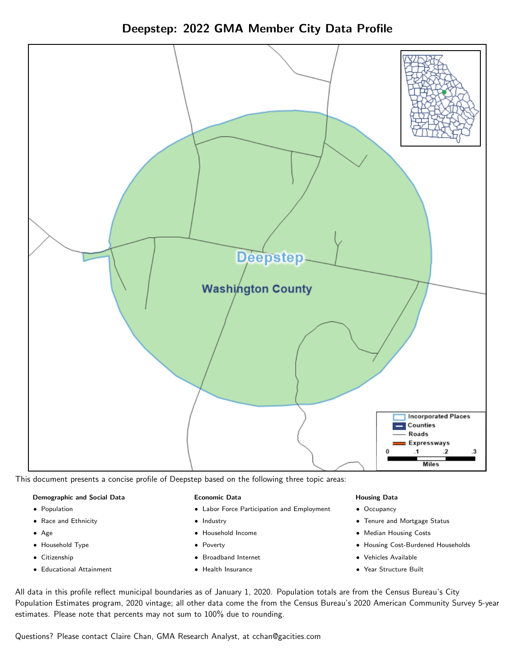



This document presents a concise profile of Deepstep based on the following three topic areas:

### Demographic and Social Data

- **•** Population
- Race and Ethnicity
- Age
- Household Type
- **Citizenship**
- Educational Attainment

### Economic Data

- Labor Force Participation and Employment
- Industry
- Household Income
- Poverty
- Broadband Internet
- Health Insurance

### Housing Data

- Occupancy
- Tenure and Mortgage Status
- Median Housing Costs
- Housing Cost-Burdened Households
- Vehicles Available
- Year Structure Built

All data in this profile reflect municipal boundaries as of January 1, 2020. Population totals are from the Census Bureau's City Population Estimates program, 2020 vintage; all other data come the from the Census Bureau's 2020 American Community Survey 5-year estimates. Please note that percents may not sum to 100% due to rounding.

Questions? Please contact Claire Chan, GMA Research Analyst, at [cchan@gacities.com.](mailto:cchan@gacities.com)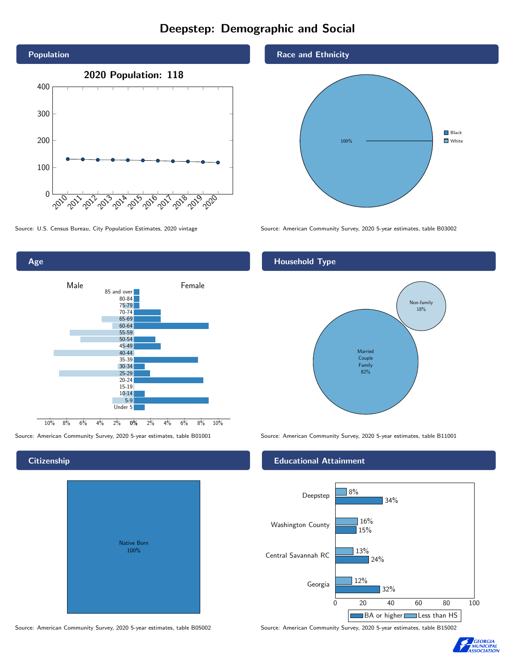# Deepstep: Demographic and Social



0% 2% 4% 6% 8% 10% Male **Female** 10% 8% 6% 4% 2% 85 and over 80-84 75-79 70-74 65-69 60-64 55-59 50-54 45-49 40-44 35-39 30-34 25-29 20-24  $15-19$  $10-14$ 5-9 Under 5

## **Citizenship**

Age

| <b>Native Born</b><br>100% |  |
|----------------------------|--|

## Race and Ethnicity



Source: U.S. Census Bureau, City Population Estimates, 2020 vintage Source: American Community Survey, 2020 5-year estimates, table B03002

## Household Type



Source: American Community Survey, 2020 5-year estimates, table B01001 Source: American Community Survey, 2020 5-year estimates, table B11001

## Educational Attainment



Source: American Community Survey, 2020 5-year estimates, table B05002 Source: American Community Survey, 2020 5-year estimates, table B15002

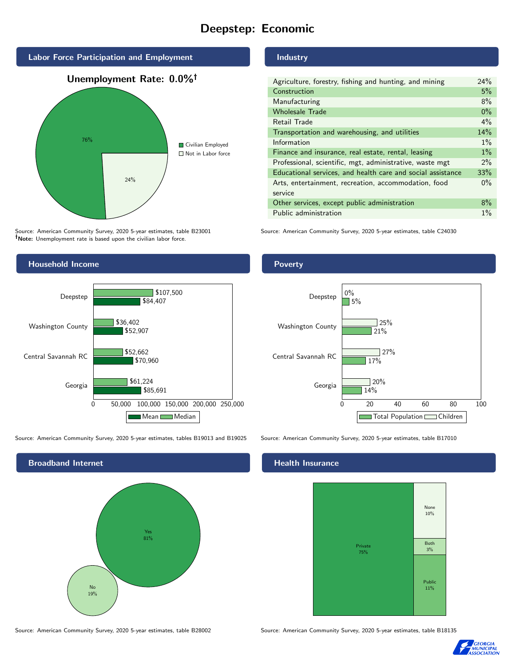# Deepstep: Economic



Source: American Community Survey, 2020 5-year estimates, table B23001 Note: Unemployment rate is based upon the civilian labor force.



Source: American Community Survey, 2020 5-year estimates, tables B19013 and B19025 Source: American Community Survey, 2020 5-year estimates, table B17010



#### Source: American Community Survey, 2020 5-year estimates, table B28002 Source: American Community Survey, 2020 5-year estimates, table B18135

## Industry

| Agriculture, forestry, fishing and hunting, and mining      |       |
|-------------------------------------------------------------|-------|
| Construction                                                | 5%    |
| Manufacturing                                               | 8%    |
| <b>Wholesale Trade</b>                                      | $0\%$ |
| Retail Trade                                                | 4%    |
| Transportation and warehousing, and utilities               |       |
| Information                                                 |       |
| Finance and insurance, real estate, rental, leasing         |       |
| Professional, scientific, mgt, administrative, waste mgt    |       |
| Educational services, and health care and social assistance |       |
| Arts, entertainment, recreation, accommodation, food        |       |
| service                                                     |       |
| Other services, except public administration                |       |
| Public administration                                       |       |

Source: American Community Survey, 2020 5-year estimates, table C24030

### **Poverty**



### Health Insurance